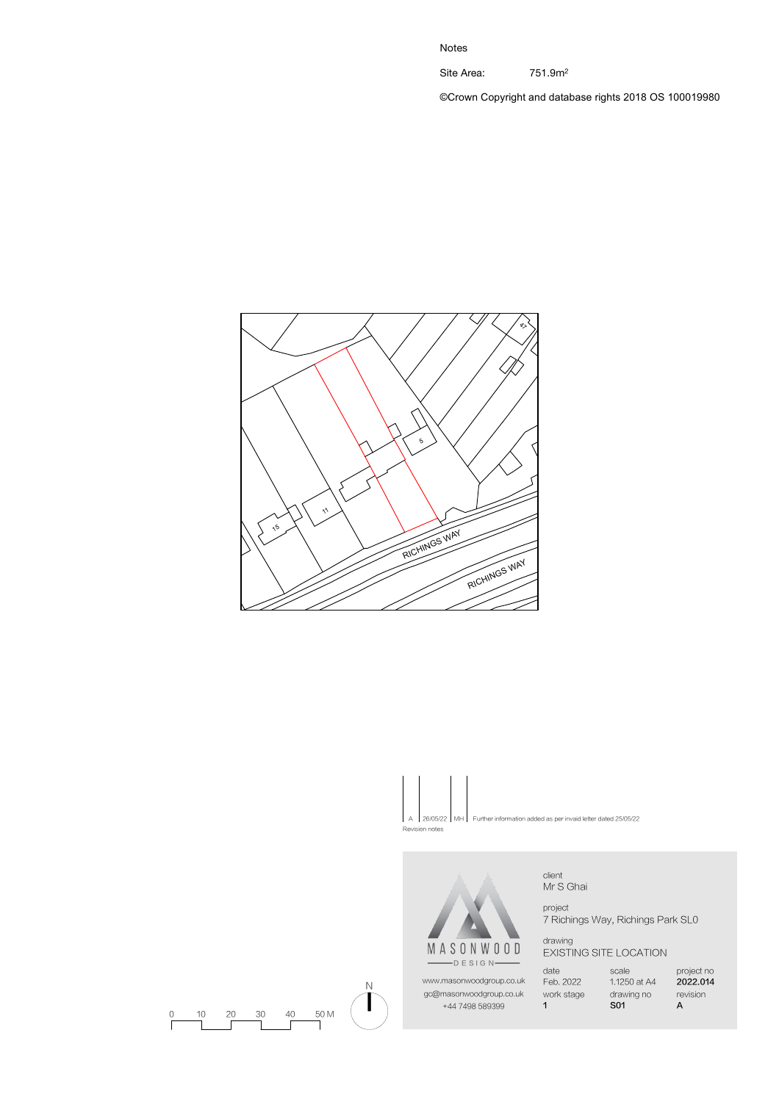Site Area: 751.9m<sup>2</sup>

©Crown Copyright and database rights 2018 OS 100019980



26/05/22 MH Further information added as per invaid letter dated 25/05/22



Revision notes

N

client Mr S Ghai

project 7 Richings Way, Richings Park SL0

drawing EXISTING SITE LOCATION

date Feb. 2022 work stage 1 www.masonwoodgroup.co.uk gc@masonwoodgroup.co.uk +44 7498 589399

scale 1.1250 at A4 drawing no S01

project no 2022.014 revision A

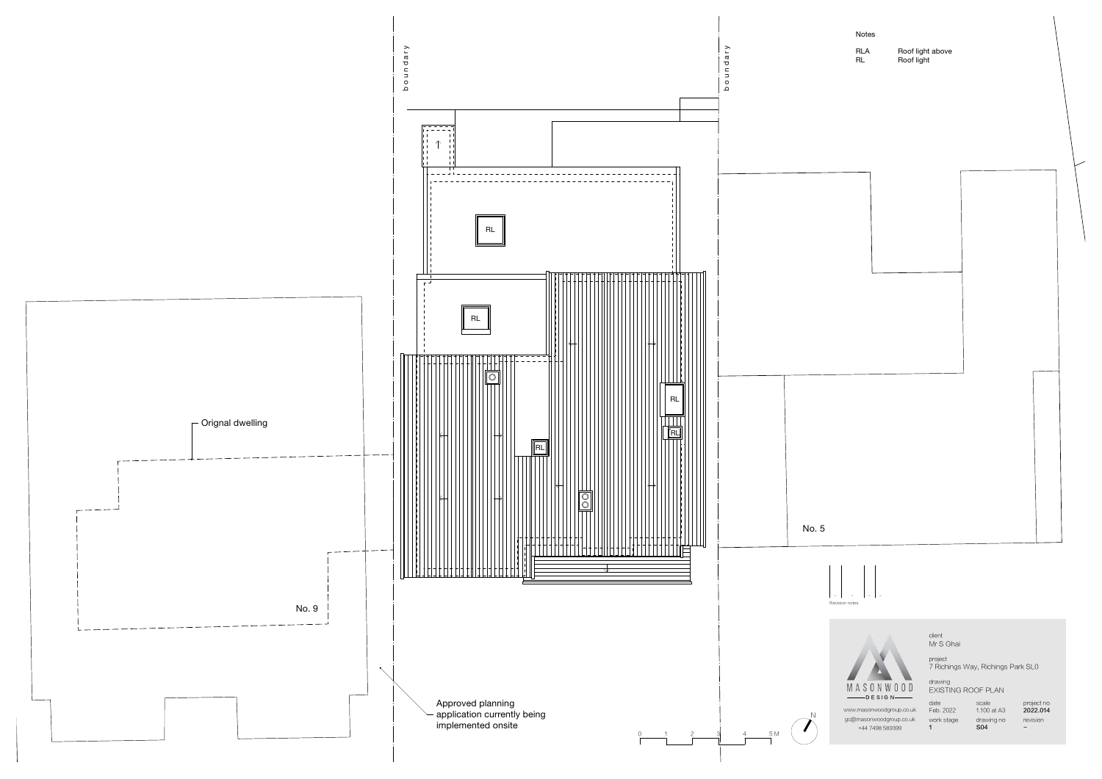client Mr S Ghai

Notes

RLA Roof light above<br>RL Roof light Roof light

> scale 1.100 at A3 drawing no  $S<sub>04</sub>$



gc@masonwoodgroup.co.uk work stage www.masonwoodgroup.co.uk +44 7498 589399

project 7 Richings Way, Richings Park SL0



drawing EXISTING ROOF PLAN

date Feb. 2022 1

project no 2022.014 revision -

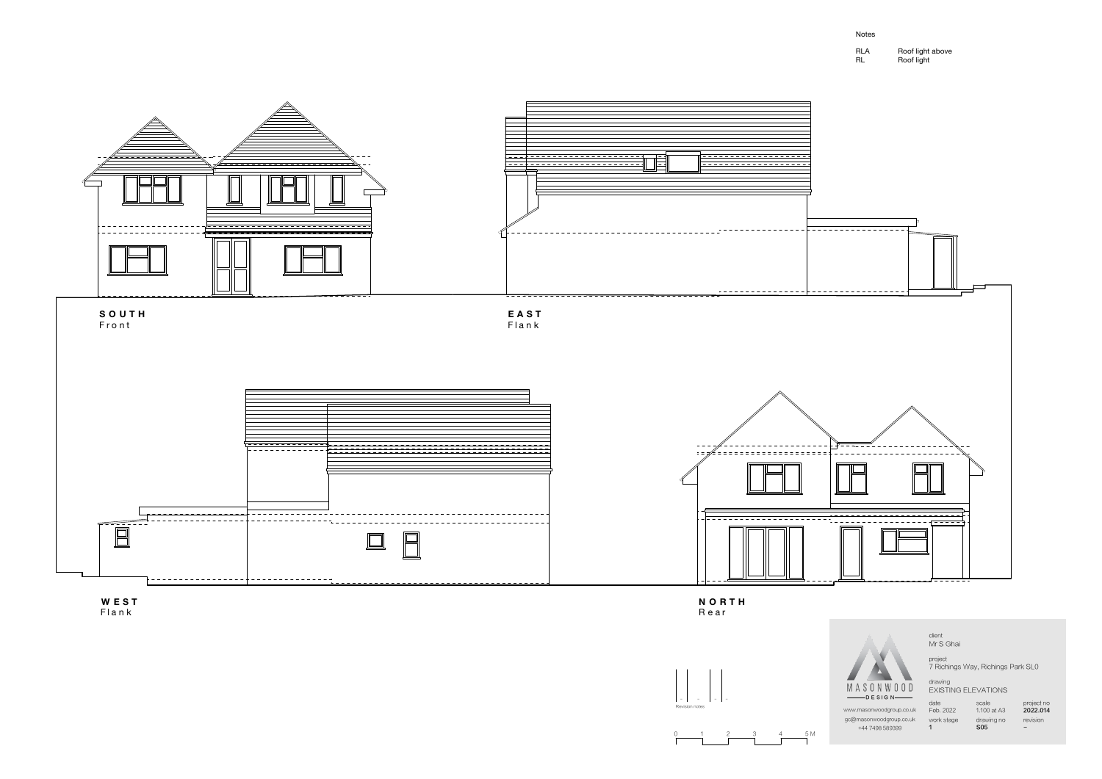| <b>RLA</b> | Roof light above |
|------------|------------------|
| RL         | Roof light       |

project 7 Richings Way, Richings Park SL0

client Mr S Ghai

drawing EXISTING ELEVATIONS

date Feb. 2022 work stage 1



scale 1.100 at A3 drawing no S05

project no 2022.014 revision -

www.masonwoodgroup.co.uk gc@masonwoodgroup.co.uk +44 7498 589399







R e a r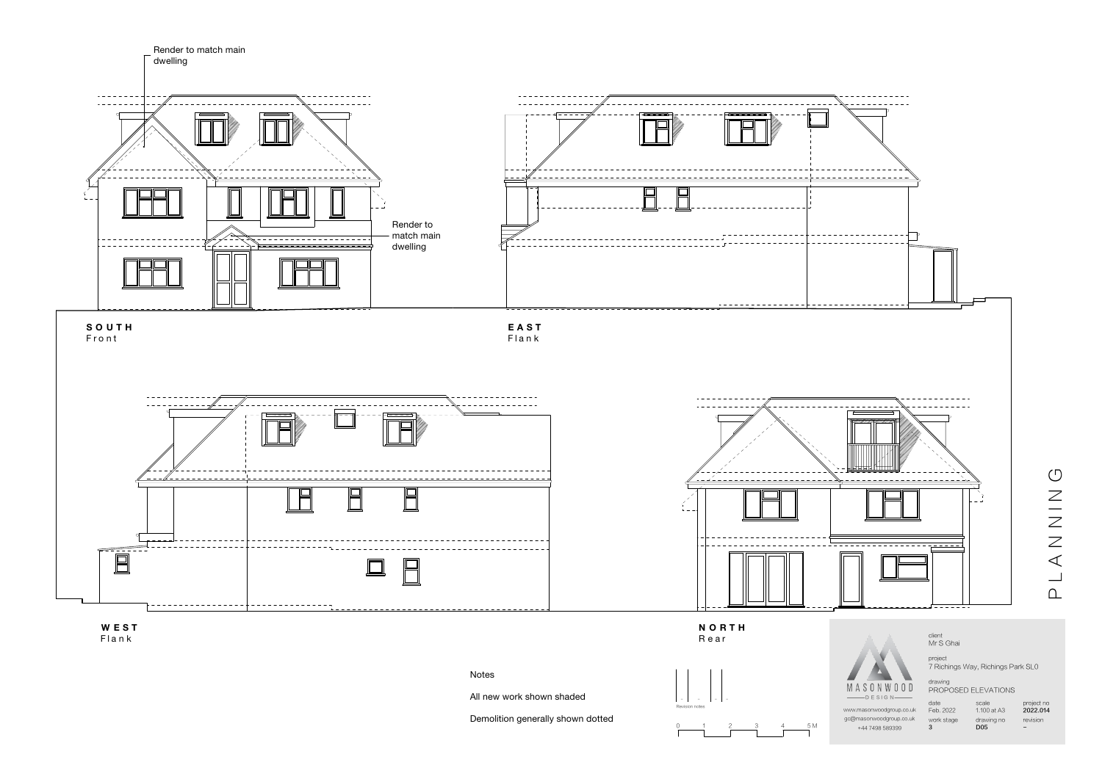All new work shown shaded

- - - -Revision notes

Demolition generally shown dotted

-

0 1 2 3 4 5M

 $\cap$  $\overline{\phantom{0}}$  $\triangle$  $\mathcal Z$ Z<br>Z<br>Z  $\circlearrowleft$ 

scale 1.100 at A3 drawing no D<sub>05</sub>

project 7 Richings Way, Richings Park SL0

client Mr S Ghai

drawing PROPOSED ELEVATIONS

gc@masonwoodgroup.co.uk work stage www.masonwoodgroup.co.uk +44 7498 589399

date Feb. 2022 3

project no 2022.014 revision -





F l a n k

R e a r